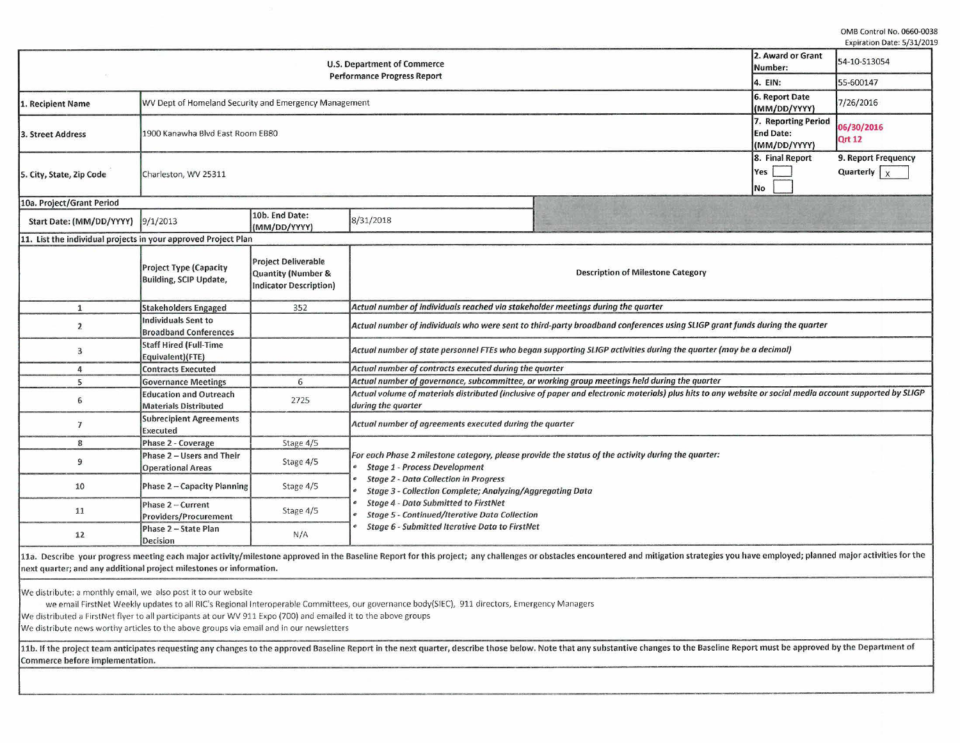0MB Control No. 0660-0038 Expiration Date: 5/31/2019

| <b>U.S. Department of Commerce</b>                             |                                                                |                                                                            |                                                                                                                                                                                | 2. Award or Grant<br>Number: | 54-10-S13054                                            |                                             |  |
|----------------------------------------------------------------|----------------------------------------------------------------|----------------------------------------------------------------------------|--------------------------------------------------------------------------------------------------------------------------------------------------------------------------------|------------------------------|---------------------------------------------------------|---------------------------------------------|--|
|                                                                | <b>Performance Progress Report</b>                             |                                                                            |                                                                                                                                                                                |                              | 4. EIN:                                                 | 55-600147                                   |  |
| 1. Recipient Name                                              | WV Dept of Homeland Security and Emergency Management          |                                                                            |                                                                                                                                                                                |                              | 6. Report Date<br>(MM/DD/YYYY)                          | 7/26/2016                                   |  |
| 3. Street Address                                              | 1900 Kanawha Blvd East Room EB80                               |                                                                            |                                                                                                                                                                                |                              | 7. Reporting Period<br><b>End Date:</b><br>(MM/DD/YYYY) | 06/30/2016<br><b>Qrt 12</b>                 |  |
| 5. City, State, Zip Code                                       | Charleston, WV 25311                                           |                                                                            |                                                                                                                                                                                |                              | 8. Final Report<br>Yes<br>No                            | 9. Report Frequency<br>Quarterly $\sqrt{x}$ |  |
| 10a. Project/Grant Period                                      |                                                                |                                                                            |                                                                                                                                                                                |                              |                                                         |                                             |  |
| Start Date: (MM/DD/YYYY)                                       | 9/1/2013                                                       | 10b. End Date:<br>(MM/DD/YYYY)                                             | 8/31/2018                                                                                                                                                                      |                              |                                                         |                                             |  |
| 11. List the individual projects in your approved Project Plan |                                                                |                                                                            |                                                                                                                                                                                |                              |                                                         |                                             |  |
|                                                                | <b>Project Type (Capacity</b><br><b>Building, SCIP Update,</b> | <b>Project Deliverable</b><br>Quantity (Number &<br>Indicator Description) | <b>Description of Milestone Category</b>                                                                                                                                       |                              |                                                         |                                             |  |
| $\mathbf{1}$                                                   | <b>Stakeholders Engaged</b>                                    | 352                                                                        | Actual number of individuals reached via stakeholder meetings during the quarter                                                                                               |                              |                                                         |                                             |  |
| $\overline{2}$                                                 | <b>Individuals Sent to</b><br><b>Broadband Conferences</b>     |                                                                            | Actual number of individuals who were sent to third-party broadband conferences using SLIGP grant funds during the quarter                                                     |                              |                                                         |                                             |  |
| 3                                                              | <b>Staff Hired (Full-Time</b><br>Equivalent)(FTE)              |                                                                            | Actual number of state personnel FTEs who began supporting SLIGP activities during the quarter (may be a decimal)                                                              |                              |                                                         |                                             |  |
| 4                                                              | <b>Contracts Executed</b>                                      |                                                                            | Actual number of contracts executed during the quarter                                                                                                                         |                              |                                                         |                                             |  |
| 5                                                              | <b>Governance Meetings</b>                                     | 6                                                                          | Actual number of governance, subcommittee, or working group meetings held during the quarter                                                                                   |                              |                                                         |                                             |  |
| 6                                                              | <b>Education and Outreach</b><br><b>Materials Distributed</b>  | 2725                                                                       | Actual volume of materials distributed (inclusive of paper and electronic materials) plus hits to any website or social media account supported by SLIGP<br>during the quarter |                              |                                                         |                                             |  |
| $\overline{7}$                                                 | <b>Subrecipient Agreements</b><br>Executed                     |                                                                            | Actual number of agreements executed during the quarter                                                                                                                        |                              |                                                         |                                             |  |
| 8                                                              | Phase 2 - Coverage                                             | Stage 4/5                                                                  |                                                                                                                                                                                |                              |                                                         |                                             |  |
| 9                                                              | Phase 2 - Users and Their<br><b>Operational Areas</b>          | Stage 4/5                                                                  | For each Phase 2 milestone category, please provide the status of the activity during the quarter:<br><b>Stage 1 - Process Development</b>                                     |                              |                                                         |                                             |  |
| 10                                                             | Phase 2 - Capacity Planning                                    | Stage 4/5                                                                  | <b>Stage 2 - Data Collection in Progress</b><br>Stage 3 - Collection Complete; Analyzing/Aggregating Data                                                                      |                              |                                                         |                                             |  |
| 11                                                             | Phase 2 - Current<br><b>Providers/Procurement</b>              | Stage 4/5                                                                  | <b>Stage 4 - Data Submitted to FirstNet</b><br><b>Stage 5 - Continued/Iterative Data Collection</b>                                                                            |                              |                                                         |                                             |  |
| 12                                                             | Phase 2 - State Plan<br>Decision                               | N/A                                                                        | <b>Stage 6 - Submitted Iterative Data to FirstNet</b>                                                                                                                          |                              |                                                         |                                             |  |

11a. Describe your progress meeting each major activity/milestone approved in the Baseline Report for this project; any challenges or obstacles encountered and mitigation strategies you have employed; planned major activit next quarter; and any additional project milestones or information.

We distribute: a monthly email, we also post it to our website

we email FirstNet Weekly updates to all RIC's Regional Interoperable Committees, our governance body{SIEC), 911 directors, Emergency Managers We distributed a FirstNet flyer to all participants at our WV 911 Expo (700) and emailed it to the above groups We distribute news worthy articles to the above groups via email and in our newsletters

11b. If the project team anticipates requesting any changes to the approved Baseline Report in the next quarter, describe those below. Note that any substantive changes to the Baseline Report must be approved by the Depart Commerce before implementation.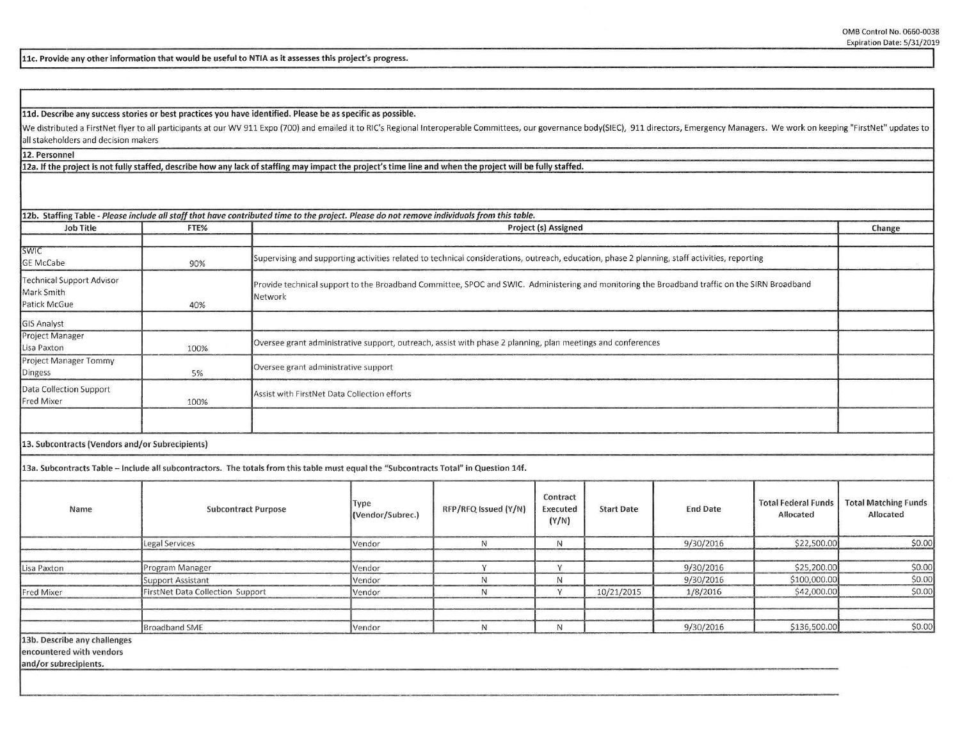**llc. Provide any other information that would be useful to NTIA as it assesses this project's progress.** 

**lld. Describe any success stories or best practices you have identified. Please be as specific as possible.** 

We distributed a FirstNet flyer to all participants at our WV 911 Expo (700) and emailed it to RIC's Regional Interoperable Committees, our governance body(SIEC), 911 directors, Emergency Managers. We work on keeping "Firs all stakeholders and decision makers

**12. Personnel** 

**12a. If the project is not fully staffed, describe how any lack of staffing may impact the project's time line and when the proiect will be fullv staffed.** 

| <b>Job Title</b>                                               | FTE% | Project (s) Assigned                                                                                                                                     |        |  |  |  |
|----------------------------------------------------------------|------|----------------------------------------------------------------------------------------------------------------------------------------------------------|--------|--|--|--|
|                                                                |      |                                                                                                                                                          | Change |  |  |  |
| <b>SWIC</b><br><b>GE McCabe</b>                                | 90%  | Supervising and supporting activities related to technical considerations, outreach, education, phase 2 planning, staff activities, reporting            |        |  |  |  |
| <b>Technical Support Advisor</b><br>Mark Smith<br>Patick McGue | 40%  | Provide technical support to the Broadband Committee, SPOC and SWIC. Administering and monitoring the Broadband traffic on the SIRN Broadband<br>Network |        |  |  |  |
| <b>GIS Analyst</b>                                             |      |                                                                                                                                                          |        |  |  |  |
| Project Manager<br>Lisa Paxton                                 | 100% | Oversee grant administrative support, outreach, assist with phase 2 planning, plan meetings and conferences                                              |        |  |  |  |
| Project Manager Tommy<br>Dingess                               | 5%   | Oversee grant administrative support                                                                                                                     |        |  |  |  |
| Data Collection Support<br>Fred Mixer                          | 100% | Assist with FirstNet Data Collection efforts                                                                                                             |        |  |  |  |
|                                                                |      |                                                                                                                                                          |        |  |  |  |
| 13. Subcontracts (Vendors and/or Subrecipients)                |      |                                                                                                                                                          |        |  |  |  |
|                                                                |      | 13a. Subcontracts Table - Include all subcontractors. The totals from this table must equal the "Subcontracts Total" in Question 14f.                    |        |  |  |  |
|                                                                |      |                                                                                                                                                          |        |  |  |  |

| Name                         | <b>Subcontract Purpose</b>       | Type<br>(Vendor/Subrec.) | RFP/RFQ Issued (Y/N) | Contract<br>Executed<br>(Y/N) | <b>Start Date</b> | <b>End Date</b> | <b>Total Federal Funds</b><br>Allocated | Total Matching Funds<br>Allocated |
|------------------------------|----------------------------------|--------------------------|----------------------|-------------------------------|-------------------|-----------------|-----------------------------------------|-----------------------------------|
|                              | Legal Services                   | Vendor                   |                      | ΙV                            |                   | 9/30/2016       | \$22,500.00                             | \$0.00                            |
| Lisa Paxton                  | Program Manager                  | Vendor                   |                      |                               |                   | 9/30/2016       | \$25,200.00                             | \$0.00                            |
|                              | Support Assistant                | Vendor                   |                      |                               |                   | 9/30/2016       | \$100,000.00                            | \$0.00                            |
| Fred Mixer                   | FirstNet Data Collection Support | Vendor                   |                      |                               | 10/21/2015        | 1/8/2016        | \$42,000.00                             | \$0.00                            |
|                              |                                  |                          |                      |                               |                   |                 |                                         |                                   |
|                              | <b>Broadband SME</b>             | Vendor                   |                      | 1 V                           |                   | 9/30/2016       | \$136,500.00                            | \$0.00                            |
| 13b. Describe any challenges |                                  |                          |                      |                               |                   |                 |                                         |                                   |

**encountered with vendors** 

**and/ or subrecipients.**